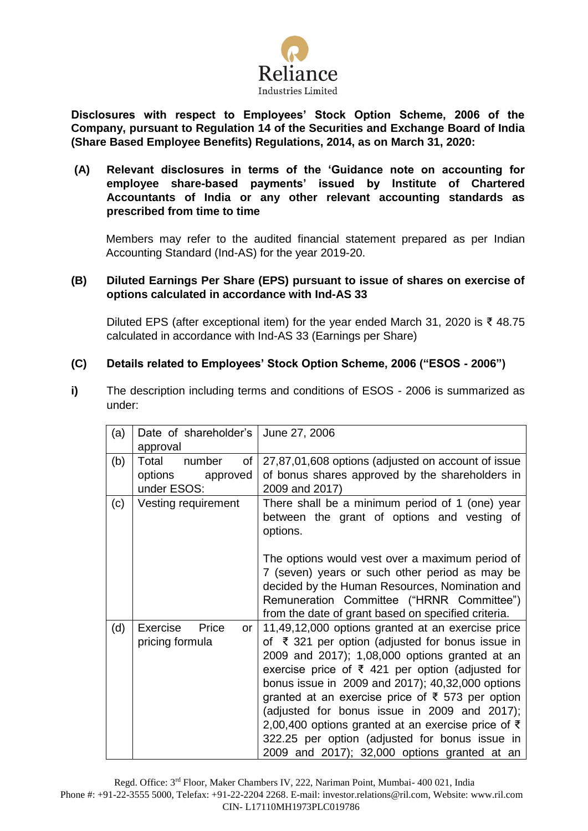

**Disclosures with respect to Employees' Stock Option Scheme, 2006 of the Company, pursuant to Regulation 14 of the Securities and Exchange Board of India (Share Based Employee Benefits) Regulations, 2014, as on March 31, 2020:**

**(A) Relevant disclosures in terms of the 'Guidance note on accounting for employee share-based payments' issued by Institute of Chartered Accountants of India or any other relevant accounting standards as prescribed from time to time**

Members may refer to the audited financial statement prepared as per Indian Accounting Standard (Ind-AS) for the year 2019-20.

### **(B) Diluted Earnings Per Share (EPS) pursuant to issue of shares on exercise of options calculated in accordance with Ind-AS 33**

Diluted EPS (after exceptional item) for the year ended March 31, 2020 is ₹ 48.75 calculated in accordance with Ind-AS 33 (Earnings per Share)

## **(C) Details related to Employees' Stock Option Scheme, 2006 ("ESOS - 2006")**

**i)** The description including terms and conditions of ESOS - 2006 is summarized as under:

| (a) | Date of shareholder's<br>approval                           | June 27, 2006                                                                                                                                                                                                                                                                                                                                                                                                                                                                                                                                     |  |
|-----|-------------------------------------------------------------|---------------------------------------------------------------------------------------------------------------------------------------------------------------------------------------------------------------------------------------------------------------------------------------------------------------------------------------------------------------------------------------------------------------------------------------------------------------------------------------------------------------------------------------------------|--|
| (b) | Total<br>number<br>of<br>options<br>approved<br>under ESOS: | 27,87,01,608 options (adjusted on account of issue<br>of bonus shares approved by the shareholders in<br>2009 and 2017)                                                                                                                                                                                                                                                                                                                                                                                                                           |  |
| (c) | Vesting requirement                                         | There shall be a minimum period of 1 (one) year<br>between the grant of options and vesting of<br>options.                                                                                                                                                                                                                                                                                                                                                                                                                                        |  |
|     |                                                             | The options would vest over a maximum period of<br>7 (seven) years or such other period as may be<br>decided by the Human Resources, Nomination and<br>Remuneration Committee ("HRNR Committee")<br>from the date of grant based on specified criteria.                                                                                                                                                                                                                                                                                           |  |
| (d) | Exercise<br>Price<br>or<br>pricing formula                  | 11,49,12,000 options granted at an exercise price<br>of ₹ 321 per option (adjusted for bonus issue in<br>2009 and 2017); 1,08,000 options granted at an<br>exercise price of $\bar{\tau}$ 421 per option (adjusted for<br>bonus issue in 2009 and 2017); 40,32,000 options<br>granted at an exercise price of ₹ 573 per option<br>(adjusted for bonus issue in 2009 and 2017);<br>2,00,400 options granted at an exercise price of $\bar{\tau}$<br>322.25 per option (adjusted for bonus issue in<br>2009 and 2017); 32,000 options granted at an |  |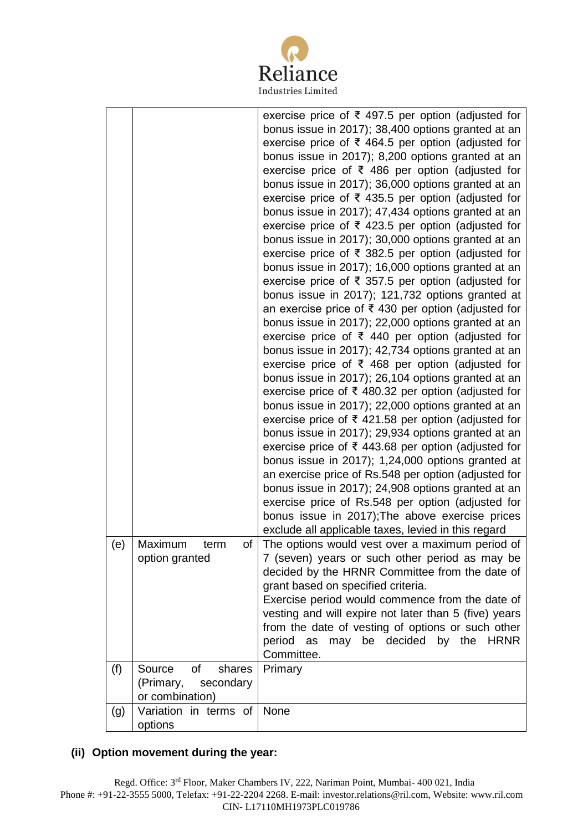

|     |                                                                            | exercise price of ₹ 497.5 per option (adjusted for<br>bonus issue in 2017); 38,400 options granted at an<br>exercise price of $\bar{\tau}$ 464.5 per option (adjusted for<br>bonus issue in 2017); 8,200 options granted at an<br>exercise price of $\bar{\tau}$ 486 per option (adjusted for<br>bonus issue in 2017); 36,000 options granted at an<br>exercise price of $\bar{\tau}$ 435.5 per option (adjusted for<br>bonus issue in 2017); 47,434 options granted at an<br>exercise price of $\bar{\tau}$ 423.5 per option (adjusted for<br>bonus issue in 2017); 30,000 options granted at an<br>exercise price of ₹ 382.5 per option (adjusted for<br>bonus issue in 2017); 16,000 options granted at an<br>exercise price of $\bar{\tau}$ 357.5 per option (adjusted for<br>bonus issue in 2017); 121,732 options granted at<br>an exercise price of ₹430 per option (adjusted for<br>bonus issue in 2017); 22,000 options granted at an<br>exercise price of ₹ 440 per option (adjusted for<br>bonus issue in 2017); 42,734 options granted at an<br>exercise price of $\bar{\tau}$ 468 per option (adjusted for |
|-----|----------------------------------------------------------------------------|-------------------------------------------------------------------------------------------------------------------------------------------------------------------------------------------------------------------------------------------------------------------------------------------------------------------------------------------------------------------------------------------------------------------------------------------------------------------------------------------------------------------------------------------------------------------------------------------------------------------------------------------------------------------------------------------------------------------------------------------------------------------------------------------------------------------------------------------------------------------------------------------------------------------------------------------------------------------------------------------------------------------------------------------------------------------------------------------------------------------------|
|     |                                                                            | bonus issue in 2017); 26,104 options granted at an<br>exercise price of ₹ 480.32 per option (adjusted for<br>bonus issue in 2017); 22,000 options granted at an<br>exercise price of ₹ 421.58 per option (adjusted for                                                                                                                                                                                                                                                                                                                                                                                                                                                                                                                                                                                                                                                                                                                                                                                                                                                                                                  |
|     |                                                                            | bonus issue in 2017); 29,934 options granted at an<br>exercise price of ₹ 443.68 per option (adjusted for<br>bonus issue in 2017); 1,24,000 options granted at<br>an exercise price of Rs.548 per option (adjusted for<br>bonus issue in 2017); 24,908 options granted at an<br>exercise price of Rs.548 per option (adjusted for<br>bonus issue in 2017); The above exercise prices<br>exclude all applicable taxes, levied in this regard                                                                                                                                                                                                                                                                                                                                                                                                                                                                                                                                                                                                                                                                             |
| (e) | Maximum<br>term<br>of<br>option granted                                    | The options would vest over a maximum period of<br>7 (seven) years or such other period as may be<br>decided by the HRNR Committee from the date of<br>grant based on specified criteria.<br>Exercise period would commence from the date of<br>vesting and will expire not later than 5 (five) years<br>from the date of vesting of options or such other<br>may be decided by the HRNR<br>period as<br>Committee.                                                                                                                                                                                                                                                                                                                                                                                                                                                                                                                                                                                                                                                                                                     |
| (f) | <b>of</b><br>Source<br>shares<br>(Primary,<br>secondary<br>or combination) | Primary                                                                                                                                                                                                                                                                                                                                                                                                                                                                                                                                                                                                                                                                                                                                                                                                                                                                                                                                                                                                                                                                                                                 |
| (g) | Variation in terms of<br>options                                           | None                                                                                                                                                                                                                                                                                                                                                                                                                                                                                                                                                                                                                                                                                                                                                                                                                                                                                                                                                                                                                                                                                                                    |

# **(ii) Option movement during the year:**